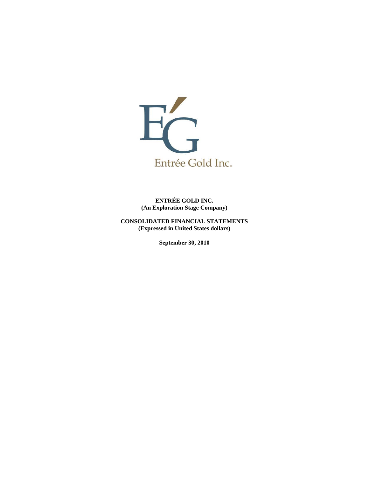

**ENTRÉE GOLD INC. (An Exploration Stage Company)**

**CONSOLIDATED FINANCIAL STATEMENTS (Expressed in United States dollars)**

**September 30, 2010**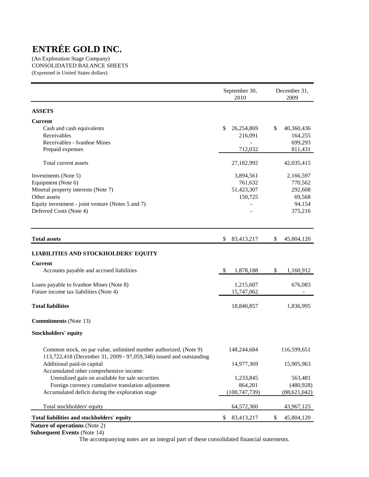(An Exploration Stage Company) CONSOLIDATED BALANCE SHEETS (Expressed in United States dollars)

|                                                                                                                                          | September 30,<br>2010     | December 31,<br>2009 |
|------------------------------------------------------------------------------------------------------------------------------------------|---------------------------|----------------------|
| <b>ASSETS</b>                                                                                                                            |                           |                      |
| Current                                                                                                                                  |                           |                      |
| Cash and cash equivalents                                                                                                                | \$<br>26,254,869          | \$<br>40,360,436     |
| Receivables                                                                                                                              | 216,091                   | 164,255              |
| Receivables - Ivanhoe Mines                                                                                                              |                           | 699,293              |
| Prepaid expenses                                                                                                                         | 712,032                   | 811,431              |
| Total current assets                                                                                                                     | 27,182,992                | 42,035,415           |
| Investments (Note 5)                                                                                                                     | 3,894,561                 | 2,166,597            |
| Equipment (Note 6)                                                                                                                       | 761,632                   | 770,562              |
| Mineral property interests (Note 7)                                                                                                      | 51,423,307                | 292,608              |
| Other assets                                                                                                                             | 150,725                   | 69,568               |
| Equity investment - joint venture (Notes 5 and 7)                                                                                        |                           | 94,154               |
| Deferred Costs (Note 4)                                                                                                                  |                           | 375,216              |
| <b>Total assets</b>                                                                                                                      | \$<br>83,413,217          | \$<br>45,804,120     |
| <b>LIABILITIES AND STOCKHOLDERS' EQUITY</b>                                                                                              |                           |                      |
| Current                                                                                                                                  |                           |                      |
| Accounts payable and accrued liabilities                                                                                                 | $\mathbb{S}$<br>1,878,188 | \$<br>1,160,912      |
| Loans payable to Ivanhoe Mines (Note 8)                                                                                                  | 1,215,607                 | 676,083              |
| Future income tax liabilities (Note 4)                                                                                                   | 15,747,062                |                      |
| <b>Total liabilities</b>                                                                                                                 | 18,840,857                | 1,836,995            |
| <b>Commitments</b> (Note 13)                                                                                                             |                           |                      |
| <b>Stockholders' equity</b>                                                                                                              |                           |                      |
| Common stock, no par value, unlimited number authorized, (Note 9)<br>113,722,418 (December 31, 2009 - 97,059,346) issued and outstanding | 148,244,684               | 116,599,651          |
| Additional paid-in capital                                                                                                               | 14,977,369                | 15,905,963           |
| Accumulated other comprehensive income:                                                                                                  |                           |                      |
| Unrealized gain on available for sale securities                                                                                         | 1,233,845                 | 563,481              |
| Foreign currency cumulative translation adjustment                                                                                       | 864,201                   | (480, 928)           |
| Accumulated deficit during the exploration stage                                                                                         | (100, 747, 739)           | (88, 621, 042)       |
| Total stockholders' equity                                                                                                               | 64,572,360                | 43,967,125           |
| Total liabilities and stockholders' equity                                                                                               | \$<br>83,413,217          | \$<br>45,804,120     |

**Nature of operations** (Note 2) **Subsequent Events** (Note 14)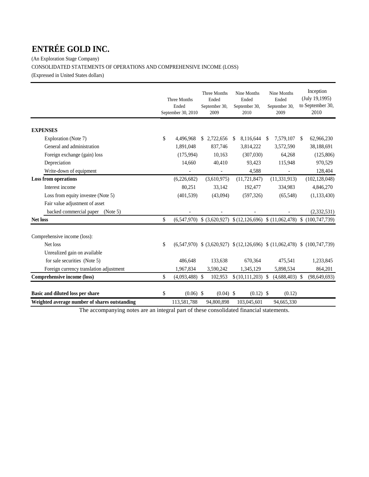(An Exploration Stage Company) CONSOLIDATED STATEMENTS OF OPERATIONS AND COMPREHENSIVE INCOME (LOSS) (Expressed in United States dollars)

|                                               | Three Months<br>Ended<br>September 30, 2010 | Three Months<br>Ended<br>September 30,<br>2009                     |              | Nine Months<br>Ended<br>September 30,<br>2010 |    | Nine Months<br>Ended<br>September 30,<br>2009 |               | Inception<br>(July 19, 1995)<br>to September 30,<br>2010                              |
|-----------------------------------------------|---------------------------------------------|--------------------------------------------------------------------|--------------|-----------------------------------------------|----|-----------------------------------------------|---------------|---------------------------------------------------------------------------------------|
| <b>EXPENSES</b>                               |                                             |                                                                    |              |                                               |    |                                               |               |                                                                                       |
| Exploration (Note 7)                          | \$<br>4,496,968                             | \$2,722,656                                                        | <sup>S</sup> | 8,116,644                                     | -S | 7,579,107                                     | <sup>\$</sup> | 62,966,230                                                                            |
| General and administration                    | 1,891,048                                   | 837,746                                                            |              | 3,814,222                                     |    | 3,572,590                                     |               | 38,188,691                                                                            |
| Foreign exchange (gain) loss                  | (175,994)                                   | 10,163                                                             |              | (307,030)                                     |    | 64,268                                        |               | (125, 806)                                                                            |
| Depreciation                                  | 14,660                                      | 40,410                                                             |              | 93,423                                        |    | 115,948                                       |               | 970,529                                                                               |
| Write-down of equipment                       |                                             | $\overline{\phantom{a}}$                                           |              | 4,588                                         |    |                                               |               | 128,404                                                                               |
| <b>Loss from operations</b>                   | (6,226,682)                                 | (3,610,975)                                                        |              | (11, 721, 847)                                |    | (11, 331, 913)                                |               | (102, 128, 048)                                                                       |
| Interest income                               | 80,251                                      | 33,142                                                             |              | 192,477                                       |    | 334,983                                       |               | 4,846,270                                                                             |
| Loss from equity investee (Note 5)            | (401, 539)                                  | (43,094)                                                           |              | (597, 326)                                    |    | (65,548)                                      |               | (1, 133, 430)                                                                         |
| Fair value adjustment of asset                |                                             |                                                                    |              |                                               |    |                                               |               |                                                                                       |
| backed commercial paper<br>(Note 5)           |                                             |                                                                    |              |                                               |    |                                               |               | (2,332,531)                                                                           |
| <b>Net loss</b>                               | \$                                          | $(6,547,970)$ \$ $(3,620,927)$ \$ $(12,126,696)$ \$ $(11,062,478)$ |              |                                               |    |                                               |               | \$(100, 747, 739)                                                                     |
| Comprehensive income (loss):                  |                                             |                                                                    |              |                                               |    |                                               |               |                                                                                       |
| Net loss                                      | \$                                          |                                                                    |              |                                               |    |                                               |               | $(6,547,970)$ \$ $(3,620,927)$ \$ $(12,126,696)$ \$ $(11,062,478)$ \$ $(100,747,739)$ |
| Unrealized gain on available                  |                                             |                                                                    |              |                                               |    |                                               |               |                                                                                       |
| for sale securities (Note 5)                  | 486,648                                     | 133,638                                                            |              | 670,364                                       |    | 475,541                                       |               | 1,233,845                                                                             |
| Foreign currency translation adjustment       | 1,967,834                                   | 3,590,242                                                          |              | 1,345,129                                     |    | 5,898,534                                     |               | 864,201                                                                               |
| Comprehensive income (loss)                   | \$<br>$(4,093,488)$ \$                      | 102,953                                                            |              | $(10,111,203)$ \$                             |    | $(4,688,403)$ \$                              |               | (98, 649, 693)                                                                        |
| Basic and diluted loss per share              | \$<br>$(0.06)$ \$                           | $(0.04)$ \$                                                        |              | $(0.12)$ \$                                   |    | (0.12)                                        |               |                                                                                       |
| Weighted average number of shares outstanding | 113,581,788                                 | 94,800,898                                                         |              | 103,045,601                                   |    | 94,665,330                                    |               |                                                                                       |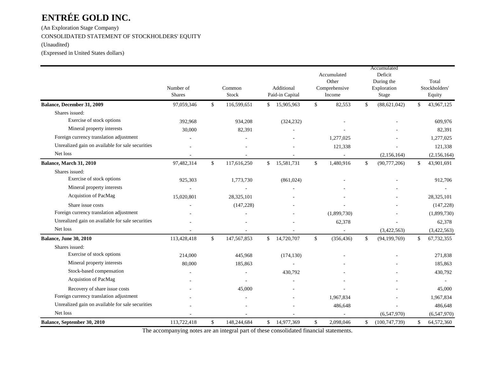(An Exploration Stage Company) CONSOLIDATED STATEMENT OF STOCKHOLDERS' EQUITY (Unaudited)

(Expressed in United States dollars)

|                                                  | Number of<br><b>Shares</b> | Common<br>Stock   |               | Additional<br>Paid-in Capital |                         | Accumulated<br>Other<br>Comprehensive<br>Income | Accumulated<br>Deficit<br>During the<br>Exploration<br>Stage | Total<br>Stockholders'<br>Equity |
|--------------------------------------------------|----------------------------|-------------------|---------------|-------------------------------|-------------------------|-------------------------------------------------|--------------------------------------------------------------|----------------------------------|
| Balance, December 31, 2009                       | 97,059,346                 | \$<br>116,599,651 | \$            | 15,905,963                    | \$                      | 82,553                                          | \$<br>(88, 621, 042)                                         | \$<br>43,967,125                 |
| Shares issued:                                   |                            |                   |               |                               |                         |                                                 |                                                              |                                  |
| Exercise of stock options                        | 392,968                    | 934,208           |               | (324, 232)                    |                         |                                                 |                                                              | 609,976                          |
| Mineral property interests                       | 30,000                     | 82,391            |               |                               |                         |                                                 |                                                              | 82,391                           |
| Foreign currency translation adjustment          |                            |                   |               |                               |                         | 1,277,025                                       |                                                              | 1,277,025                        |
| Unrealized gain on available for sale securities |                            |                   |               |                               |                         | 121,338                                         |                                                              | 121,338                          |
| Net loss                                         |                            |                   |               |                               |                         |                                                 | (2,156,164)                                                  | (2,156,164)                      |
| Balance, March 31, 2010                          | 97,482,314                 | \$<br>117,616,250 | $\mathbb{S}$  | 15,581,731                    | $\mathcal{S}$           | 1,480,916                                       | \$<br>(90, 777, 206)                                         | \$<br>43,901,691                 |
| Shares issued:                                   |                            |                   |               |                               |                         |                                                 |                                                              |                                  |
| Exercise of stock options                        | 925,303                    | 1,773,730         |               | (861, 024)                    |                         |                                                 |                                                              | 912,706                          |
| Mineral property interests                       |                            |                   |               |                               |                         |                                                 |                                                              |                                  |
| Acquistion of PacMag                             | 15,020,801                 | 28,325,101        |               |                               |                         |                                                 |                                                              | 28,325,101                       |
| Share issue costs                                |                            | (147, 228)        |               |                               |                         |                                                 |                                                              | (147, 228)                       |
| Foreign currency translation adjustment          |                            |                   |               |                               |                         | (1,899,730)                                     |                                                              | (1,899,730)                      |
| Unrealized gain on available for sale securities |                            |                   |               |                               |                         | 62,378                                          |                                                              | 62,378                           |
| Net loss                                         |                            |                   |               |                               |                         | $\sim$                                          | (3,422,563)                                                  | (3,422,563)                      |
| Balance, June 30, 2010                           | 113,428,418                | \$<br>147,567,853 | $\mathbb{S}$  | 14,720,707                    | $\sqrt[6]{\frac{1}{2}}$ | (356, 436)                                      | \$<br>(94, 199, 769)                                         | \$<br>67,732,355                 |
| Shares issued:                                   |                            |                   |               |                               |                         |                                                 |                                                              |                                  |
| Exercise of stock options                        | 214,000                    | 445,968           |               | (174, 130)                    |                         |                                                 |                                                              | 271,838                          |
| Mineral property interests                       | 80,000                     | 185,863           |               |                               |                         |                                                 |                                                              | 185,863                          |
| Stock-based compensation                         |                            |                   |               | 430,792                       |                         |                                                 |                                                              | 430,792                          |
| Acquistion of PacMag                             |                            |                   |               |                               |                         |                                                 |                                                              |                                  |
| Recovery of share issue costs                    |                            | 45,000            |               |                               |                         |                                                 |                                                              | 45,000                           |
| Foreign currency translation adjustment          |                            |                   |               |                               |                         | 1,967,834                                       |                                                              | 1,967,834                        |
| Unrealized gain on available for sale securities |                            |                   |               |                               |                         | 486,648                                         |                                                              | 486,648                          |
| Net loss                                         |                            |                   |               |                               |                         |                                                 | (6,547,970)                                                  | (6,547,970)                      |
| Balance, September 30, 2010                      | 113,722,418                | \$<br>148,244,684 | $\mathsf{\$}$ | 14,977,369                    | \$                      | 2,098,046                                       | \$<br>(100, 747, 739)                                        | \$<br>64,572,360                 |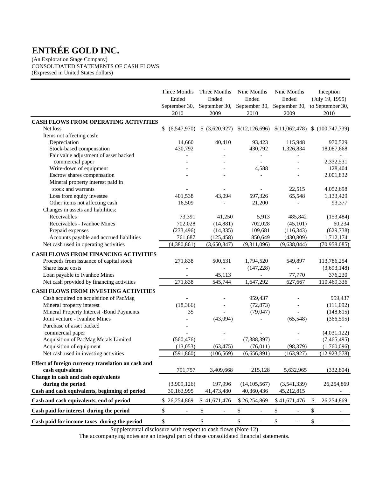(An Exploration Stage Company) CONSOLIDATED STATEMENTS OF CASH FLOWS (Expressed in United States dollars)

|                                                    | Three Months<br>Ended<br>September 30,<br>2010 | Three Months<br>Ended<br>2009  | Nine Months<br>Ended<br>September 30, September 30,<br>2010 | Nine Months<br>Ended<br>September 30, to September 30,<br>2009 |              | Inception<br>(July 19, 1995)<br>2010 |
|----------------------------------------------------|------------------------------------------------|--------------------------------|-------------------------------------------------------------|----------------------------------------------------------------|--------------|--------------------------------------|
| <b>CASH FLOWS FROM OPERATING ACTIVITIES</b>        |                                                |                                |                                                             |                                                                |              |                                      |
| Net loss                                           | \$<br>(6,547,970)                              | (3,620,927)<br>\$              |                                                             | $$(12,126,696) \$(11,062,478) \$(100,747,739)$                 |              |                                      |
| Items not affecting cash:                          |                                                |                                |                                                             |                                                                |              |                                      |
| Depreciation                                       | 14,660                                         | 40,410                         | 93,423                                                      | 115,948                                                        |              | 970,529                              |
| Stock-based compensation                           | 430,792                                        |                                | 430,792                                                     | 1,326,834                                                      |              | 18,087,668                           |
| Fair value adjustment of asset backed              |                                                |                                |                                                             |                                                                |              |                                      |
| commercial paper                                   |                                                |                                |                                                             |                                                                |              | 2,332,531                            |
| Write-down of equipment                            |                                                |                                | 4,588                                                       |                                                                |              | 128,404                              |
| Escrow shares compensation                         |                                                |                                |                                                             |                                                                |              | 2,001,832                            |
| Mineral property interest paid in                  |                                                |                                |                                                             |                                                                |              |                                      |
| stock and warrants                                 |                                                |                                |                                                             | 22,515                                                         |              | 4,052,698                            |
| Loss from equity investee                          | 401,538                                        | 43,094                         | 597,326                                                     | 65,548                                                         |              | 1,133,429                            |
| Other items not affecting cash                     | 16,509                                         |                                | 21,200                                                      |                                                                |              | 93,377                               |
| Changes in assets and liabilities:                 |                                                |                                |                                                             |                                                                |              |                                      |
| Receivables                                        | 73,391                                         | 41,250                         | 5,913                                                       | 485,842                                                        |              | (153, 484)                           |
| Receivables - Ivanhoe Mines                        | 702,028                                        | (14, 881)                      | 702,028                                                     | (45,101)                                                       |              | 60,234                               |
| Prepaid expenses                                   | (233, 496)                                     | (14, 335)                      | 109,681                                                     | (116, 343)                                                     |              | (629, 738)                           |
| Accounts payable and accrued liabilities           | 761,687                                        | (125, 458)                     | 850,649                                                     | (430, 809)                                                     |              | 1,712,174                            |
| Net cash used in operating activities              | (4,380,861)                                    | (3,650,847)                    | (9,311,096)                                                 | (9,638,044)                                                    |              | (70,958,085)                         |
| <b>CASH FLOWS FROM FINANCING ACTIVITIES</b>        |                                                |                                |                                                             |                                                                |              |                                      |
| Proceeds from issuance of capital stock            | 271,838                                        | 500,631                        | 1,794,520                                                   | 549,897                                                        |              | 113,786,254                          |
| Share issue costs                                  |                                                |                                | (147, 228)                                                  |                                                                |              | (3,693,148)                          |
| Loan payable to Ivanhoe Mines                      |                                                | 45,113                         |                                                             | 77,770                                                         |              | 376,230                              |
| Net cash provided by financing activities          | 271,838                                        | 545,744                        | 1,647,292                                                   | 627,667                                                        |              | 110,469,336                          |
|                                                    |                                                |                                |                                                             |                                                                |              |                                      |
| CASH FLOWS FROM INVESTING ACTIVITIES               |                                                |                                |                                                             |                                                                |              |                                      |
| Cash acquired on acquisition of PacMag             |                                                |                                | 959,437                                                     |                                                                |              | 959,437                              |
| Mineral property interest                          | (18, 366)                                      |                                | (72, 873)                                                   |                                                                |              | (111,092)                            |
| Mineral Property Interest -Bond Payments           | 35                                             |                                | (79, 047)                                                   |                                                                |              | (148, 615)                           |
| Joint venture - Ivanhoe Mines                      |                                                | (43,094)                       |                                                             | (65, 548)                                                      |              | (366, 595)                           |
| Purchase of asset backed                           |                                                |                                |                                                             |                                                                |              |                                      |
| commercial paper                                   |                                                |                                |                                                             |                                                                |              | (4,031,122)                          |
| Acquisition of PacMag Metals Limited               | (560, 476)                                     |                                | (7, 388, 397)                                               |                                                                |              | (7,465,495)                          |
| Acquisition of equipment                           | (13,053)                                       | (63, 475)                      | (76, 011)                                                   | (98, 379)                                                      |              | (1,760,096)                          |
| Net cash used in investing activities              | (591, 860)                                     | (106, 569)                     | (6,656,891)                                                 | (163, 927)                                                     |              | (12, 923, 578)                       |
| Effect of foreign currency translation on cash and |                                                |                                |                                                             |                                                                |              |                                      |
| cash equivalents                                   | 791,757                                        | 3,409,668                      | 215,128                                                     | 5,632,965                                                      |              | (332, 804)                           |
| Change in cash and cash equivalents                |                                                |                                |                                                             |                                                                |              |                                      |
| during the period                                  | (3,909,126)                                    | 197,996                        | (14, 105, 567)                                              | (3,541,339)                                                    |              | 26,254,869                           |
| Cash and cash equivalents, beginning of period     | 30,163,995                                     | 41,473,480                     | 40,360,436                                                  | 45,212,815                                                     |              |                                      |
| Cash and cash equivalents, end of period           | \$26,254,869                                   | \$41,671,476                   | \$26,254,869                                                | \$41,671,476                                                   | \$           | 26,254,869                           |
| Cash paid for interest during the period           | \$<br>$\overline{\phantom{a}}$                 | \$<br>$\overline{\phantom{a}}$ | \$<br>$\overline{\phantom{a}}$                              | \$<br>$\overline{\phantom{a}}$                                 | $\mathbb{S}$ |                                      |
| Cash paid for income taxes during the period       | \$<br>$\overline{\phantom{a}}$                 | \$                             | $\$$                                                        | \$<br>$\overline{\phantom{a}}$                                 | $\,$         |                                      |
|                                                    |                                                |                                |                                                             |                                                                |              |                                      |

Supplemental disclosure with respect to cash flows (Note 12)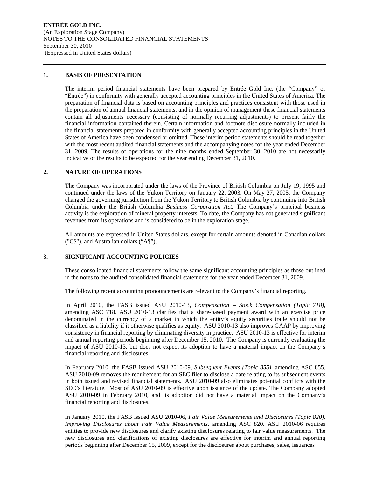#### **1. BASIS OF PRESENTATION**

The interim period financial statements have been prepared by Entrée Gold Inc. (the "Company" or "Entrée") in conformity with generally accepted accounting principles in the United States of America. The preparation of financial data is based on accounting principles and practices consistent with those used in the preparation of annual financial statements, and in the opinion of management these financial statements contain all adjustments necessary (consisting of normally recurring adjustments) to present fairly the financial information contained therein. Certain information and footnote disclosure normally included in the financial statements prepared in conformity with generally accepted accounting principles in the United States of America have been condensed or omitted. These interim period statements should be read together with the most recent audited financial statements and the accompanying notes for the year ended December 31, 2009. The results of operations for the nine months ended September 30, 2010 are not necessarily indicative of the results to be expected for the year ending December 31, 2010.

#### **2. NATURE OF OPERATIONS**

The Company was incorporated under the laws of the Province of British Columbia on July 19, 1995 and continued under the laws of the Yukon Territory on January 22, 2003. On May 27, 2005, the Company changed the governing jurisdiction from the Yukon Territory to British Columbia by continuing into British Columbia under the British Columbia *Business Corporation Act.* The Company's principal business activity is the exploration of mineral property interests. To date, the Company has not generated significant revenues from its operations and is considered to be in the exploration stage.

All amounts are expressed in United States dollars, except for certain amounts denoted in Canadian dollars ("C\$"), and Australian dollars ("A\$").

## **3. SIGNIFICANT ACCOUNTING POLICIES**

These consolidated financial statements follow the same significant accounting principles as those outlined in the notes to the audited consolidated financial statements for the year ended December 31, 2009.

The following recent accounting pronouncements are relevant to the Company's financial reporting.

In April 2010, the FASB issued ASU 2010-13, *Compensation – Stock Compensation (Topic 718),*  amending ASC 718. ASU 2010-13 clarifies that a share-based payment award with an exercise price denominated in the currency of a market in which the entity's equity securities trade should not be classified as a liability if it otherwise qualifies as equity. ASU 2010-13 also improves GAAP by improving consistency in financial reporting by eliminating diversity in practice. ASU 2010-13 is effective for interim and annual reporting periods beginning after December 15, 2010. The Company is currently evaluating the impact of ASU 2010-13, but does not expect its adoption to have a material impact on the Company's financial reporting and disclosures.

In February 2010, the FASB issued ASU 2010-09, *Subsequent Events (Topic 855),* amending ASC 855. ASU 2010-09 removes the requirement for an SEC filer to disclose a date relating to its subsequent events in both issued and revised financial statements. ASU 2010-09 also eliminates potential conflicts with the SEC's literature. Most of ASU 2010-09 is effective upon issuance of the update. The Company adopted ASU 2010-09 in February 2010, and its adoption did not have a material impact on the Company's financial reporting and disclosures.

In January 2010, the FASB issued ASU 2010-06, *Fair Value Measurements and Disclosures (Topic 820), Improving Disclosures about Fair Value Measurements,* amending ASC 820. ASU 2010-06 requires entities to provide new disclosures and clarify existing disclosures relating to fair value measurements. The new disclosures and clarifications of existing disclosures are effective for interim and annual reporting periods beginning after December 15, 2009, except for the disclosures about purchases, sales, issuances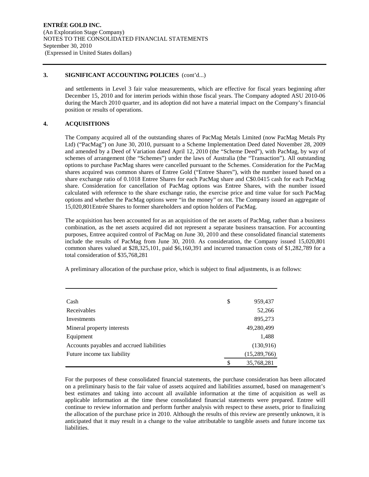#### **3. SIGNIFICANT ACCOUNTING POLICIES** (cont'd...)

and settlements in Level 3 fair value measurements, which are effective for fiscal years beginning after December 15, 2010 and for interim periods within those fiscal years. The Company adopted ASU 2010-06 during the March 2010 quarter, and its adoption did not have a material impact on the Company's financial position or results of operations.

## **4. ACQUISITIONS**

The Company acquired all of the outstanding shares of PacMag Metals Limited (now PacMag Metals Pty Ltd) ("PacMag") on June 30, 2010, pursuant to a Scheme Implementation Deed dated November 28, 2009 and amended by a Deed of Variation dated April 12, 2010 (the "Scheme Deed"), with PacMag, by way of schemes of arrangement (the "Schemes") under the laws of Australia (the "Transaction"). All outstanding options to purchase PacMag shares were cancelled pursuant to the Schemes. Consideration for the PacMag shares acquired was common shares of Entree Gold ("Entree Shares"), with the number issued based on a share exchange ratio of 0.1018 Entree Shares for each PacMag share and C\$0.0415 cash for each PacMag share. Consideration for cancellation of PacMag options was Entree Shares, with the number issued calculated with reference to the share exchange ratio, the exercise price and time value for such PacMag options and whether the PacMag options were "in the money" or not. The Company issued an aggregate of 15,020,801Entrée Shares to former shareholders and option holders of PacMag.

The acquisition has been accounted for as an acquisition of the net assets of PacMag, rather than a business combination, as the net assets acquired did not represent a separate business transaction. For accounting purposes, Entree acquired control of PacMag on June 30, 2010 and these consolidated financial statements include the results of PacMag from June 30, 2010. As consideration, the Company issued 15,020,801 common shares valued at \$28,325,101, paid \$6,160,391 and incurred transaction costs of \$1,282,789 for a total consideration of \$35,768,281

A preliminary allocation of the purchase price, which is subject to final adjustments, is as follows:

| Cash                                      | \$ | 959,437        |
|-------------------------------------------|----|----------------|
| Receivables                               |    | 52,266         |
| Investments                               |    | 895,273        |
| Mineral property interests                |    | 49,280,499     |
| Equipment                                 |    | 1,488          |
| Accounts payables and accrued liabilities |    | (130,916)      |
| Future income tax liability               |    | (15, 289, 766) |
|                                           | S  | 35,768,281     |

For the purposes of these consolidated financial statements, the purchase consideration has been allocated on a preliminary basis to the fair value of assets acquired and liabilities assumed, based on management's best estimates and taking into account all available information at the time of acquisition as well as applicable information at the time these consolidated financial statements were prepared. Entree will continue to review information and perform further analysis with respect to these assets, prior to finalizing the allocation of the purchase price in 2010. Although the results of this review are presently unknown, it is anticipated that it may result in a change to the value attributable to tangible assets and future income tax liabilities.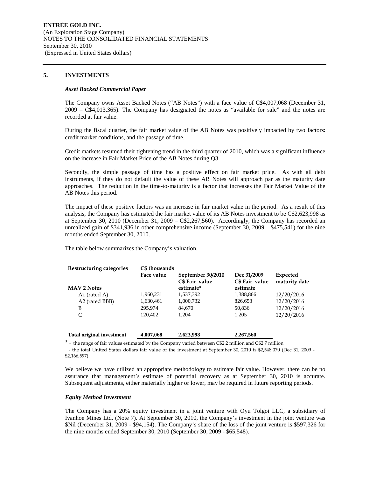#### **5. INVESTMENTS**

#### *Asset Backed Commercial Paper*

The Company owns Asset Backed Notes ("AB Notes") with a face value of C\$4,007,068 (December 31, 2009 – C\$4,013,365). The Company has designated the notes as "available for sale" and the notes are recorded at fair value.

During the fiscal quarter, the fair market value of the AB Notes was positively impacted by two factors: credit market conditions, and the passage of time.

Credit markets resumed their tightening trend in the third quarter of 2010, which was a significant influence on the increase in Fair Market Price of the AB Notes during Q3.

Secondly, the simple passage of time has a positive effect on fair market price. As with all debt instruments, if they do not default the value of these AB Notes will approach par as the maturity date approaches. The reduction in the time-to-maturity is a factor that increases the Fair Market Value of the AB Notes this period.

The impact of these positive factors was an increase in fair market value in the period. As a result of this analysis, the Company has estimated the fair market value of its AB Notes investment to be C\$2,623,998 as at September 30, 2010 (December 31, 2009 – C\$2,267,560). Accordingly, the Company has recorded an unrealized gain of \$341,936 in other comprehensive income (September 30, 2009 – \$475,541) for the nine months ended September 30, 2010.

The table below summarizes the Company's valuation.

| Restructuring categories         | C\$ thousands<br>Face value | September 30/2010<br>C\$ Fair value | Dec 31/2009<br>C\$ Fair value | Expected<br>maturity date |
|----------------------------------|-----------------------------|-------------------------------------|-------------------------------|---------------------------|
| <b>MAV 2 Notes</b>               |                             | estimate*                           | estimate                      |                           |
| A1 (rated A)                     | 1,960,231                   | 1,537,392                           | 1,388,866                     | 12/20/2016                |
| A2 (rated BBB)                   | 1,630,461                   | 1,000,732                           | 826,653                       | 12/20/2016                |
| B                                | 295,974                     | 84,670                              | 50,836                        | 12/20/2016                |
| C                                | 120.402                     | 1.204                               | 1.205                         | 12/20/2016                |
| <b>Total original investment</b> | 4,007,068                   | 2,623,998                           | 2,267,560                     |                           |

\* - the range of fair values estimated by the Company varied between C\$2.2 million and C\$2.7 million

 - the total United States dollars fair value of the investment at September 30, 2010 is \$2,548,070 (Dec 31, 2009 - \$2,166,597).

We believe we have utilized an appropriate methodology to estimate fair value. However, there can be no assurance that management's estimate of potential recovery as at September 30, 2010 is accurate. Subsequent adjustments, either materially higher or lower, may be required in future reporting periods.

#### *Equity Method Investment*

The Company has a 20% equity investment in a joint venture with Oyu Tolgoi LLC, a subsidiary of Ivanhoe Mines Ltd. (Note 7). At September 30, 2010, the Company's investment in the joint venture was \$Nil (December 31, 2009 - \$94,154). The Company's share of the loss of the joint venture is \$597,326 for the nine months ended September 30, 2010 (September 30, 2009 - \$65,548).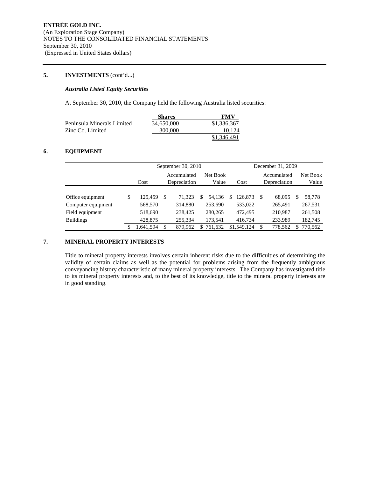# **5. INVESTMENTS** (cont'd...)

#### *Australia Listed Equity Securities*

At September 30, 2010, the Company held the following Australia listed securities:

|                            | <b>Shares</b> | FMV         |
|----------------------------|---------------|-------------|
| Peninsula Minerals Limited | 34,650,000    | \$1,336,367 |
| Zinc Co. Limited           | 300,000       | 10.124      |
|                            |               | \$1,346,491 |

# **6. EQUIPMENT**

|                    |   |                         | September 30, 2010 |         | December 31, 2009 |         |      |             |              |             |    |          |
|--------------------|---|-------------------------|--------------------|---------|-------------------|---------|------|-------------|--------------|-------------|----|----------|
|                    |   | Net Book<br>Accumulated |                    |         |                   |         |      |             |              | Accumulated |    | Net Book |
|                    |   | Cost                    | Depreciation       |         | Value             |         | Cost |             | Depreciation |             |    | Value    |
|                    |   |                         |                    |         |                   |         |      |             |              |             |    |          |
| Office equipment   | S | 125.459                 | \$.                | 71.323  | S                 | 54.136  | S    | 126.873     |              | 68,095      | S  | 58,778   |
| Computer equipment |   | 568,570                 |                    | 314,880 |                   | 253.690 |      | 533,022     |              | 265,491     |    | 267,531  |
| Field equipment    |   | 518,690                 |                    | 238,425 |                   | 280,265 |      | 472,495     |              | 210,987     |    | 261,508  |
| <b>Buildings</b>   |   | 428,875                 |                    | 255,334 |                   | 173.541 |      | 416.734     |              | 233,989     |    | 182,745  |
|                    |   | 1.641.594               | \$                 | 879.962 | S                 | 761,632 |      | \$1,549,124 |              | 778.562     | \$ | 770.562  |

## **7. MINERAL PROPERTY INTERESTS**

Title to mineral property interests involves certain inherent risks due to the difficulties of determining the validity of certain claims as well as the potential for problems arising from the frequently ambiguous conveyancing history characteristic of many mineral property interests. The Company has investigated title to its mineral property interests and, to the best of its knowledge, title to the mineral property interests are in good standing.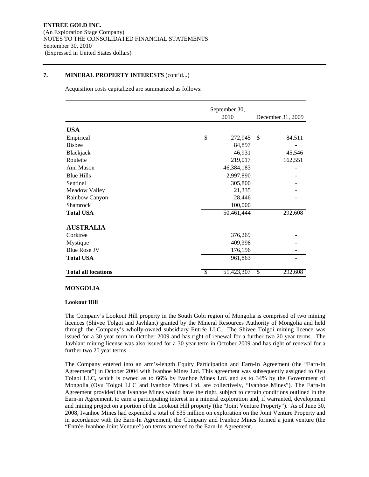Acquisition costs capitalized are summarized as follows:

|                            | September 30,    |                   |
|----------------------------|------------------|-------------------|
|                            | 2010             | December 31, 2009 |
| <b>USA</b>                 |                  |                   |
| Empirical                  | \$<br>272,945    | \$<br>84,511      |
| <b>Bisbee</b>              | 84,897           |                   |
| Blackjack                  | 46,931           | 45,546            |
| Roulette                   | 219,017          | 162,551           |
| Ann Mason                  | 46,384,183       |                   |
| <b>Blue Hills</b>          | 2,997,890        |                   |
| Sentinel                   | 305,800          |                   |
| Meadow Valley              | 21,335           |                   |
| Rainbow Canyon             | 28,446           |                   |
| <b>Shamrock</b>            | 100,000          |                   |
| <b>Total USA</b>           | 50,461,444       | 292,608           |
| <b>AUSTRALIA</b>           |                  |                   |
| Corktree                   | 376,269          |                   |
| Mystique                   | 409,398          |                   |
| <b>Blue Rose JV</b>        | 176,196          |                   |
| <b>Total USA</b>           | 961,863          |                   |
| <b>Total all locations</b> | \$<br>51,423,307 | \$<br>292,608     |

#### **MONGOLIA**

#### **Lookout Hill**

The Company's Lookout Hill property in the South Gobi region of Mongolia is comprised of two mining licences (Shivee Tolgoi and Javhlant) granted by the Mineral Resources Authority of Mongolia and held through the Company's wholly-owned subsidiary Entrée LLC. The Shivee Tolgoi mining licence was issued for a 30 year term in October 2009 and has right of renewal for a further two 20 year terms. The Javhlant mining license was also issued for a 30 year term in October 2009 and has right of renewal for a further two 20 year terms.

The Company entered into an arm's-length Equity Participation and Earn-In Agreement (the "Earn-In Agreement") in October 2004 with Ivanhoe Mines Ltd. This agreement was subsequently assigned to Oyu Tolgoi LLC, which is owned as to 66% by Ivanhoe Mines Ltd. and as to 34% by the Government of Mongolia (Oyu Tolgoi LLC and Ivanhoe Mines Ltd. are collectively, "Ivanhoe Mines"). The Earn-In Agreement provided that Ivanhoe Mines would have the right, subject to certain conditions outlined in the Earn-in Agreement, to earn a participating interest in a mineral exploration and, if warranted, development and mining project on a portion of the Lookout Hill property (the "Joint Venture Property"). As of June 30, 2008, Ivanhoe Mines had expended a total of \$35 million on exploration on the Joint Venture Property and in accordance with the Earn-In Agreement, the Company and Ivanhoe Mines formed a joint venture (the "Entrée-Ivanhoe Joint Venture") on terms annexed to the Earn-In Agreement.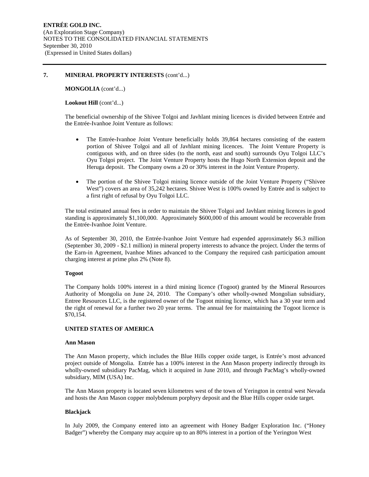**MONGOLIA** (cont'd...)

#### Lookout Hill (cont'd...)

The beneficial ownership of the Shivee Tolgoi and Javhlant mining licences is divided between Entrée and the Entrée-Ivanhoe Joint Venture as follows:

- The Entrée-Ivanhoe Joint Venture beneficially holds 39,864 hectares consisting of the eastern portion of Shivee Tolgoi and all of Javhlant mining licences. The Joint Venture Property is contiguous with, and on three sides (to the north, east and south) surrounds Oyu Tolgoi LLC's Oyu Tolgoi project. The Joint Venture Property hosts the Hugo North Extension deposit and the Heruga deposit. The Company owns a 20 or 30% interest in the Joint Venture Property.
- The portion of the Shivee Tolgoi mining licence outside of the Joint Venture Property ("Shivee West") covers an area of 35,242 hectares. Shivee West is 100% owned by Entrée and is subject to a first right of refusal by Oyu Tolgoi LLC.

The total estimated annual fees in order to maintain the Shivee Tolgoi and Javhlant mining licences in good standing is approximately \$1,100,000. Approximately \$600,000 of this amount would be recoverable from the Entrée-Ivanhoe Joint Venture.

As of September 30, 2010, the Entrée-Ivanhoe Joint Venture had expended approximately \$6.3 million (September 30, 2009 - \$2.1 million) in mineral property interests to advance the project. Under the terms of the Earn-in Agreement, Ivanhoe Mines advanced to the Company the required cash participation amount charging interest at prime plus 2% (Note 8).

#### **Togoot**

The Company holds 100% interest in a third mining licence (Togoot) granted by the Mineral Resources Authority of Mongolia on June 24, 2010. The Company's other wholly-owned Mongolian subsidiary, Entree Resources LLC, is the registered owner of the Togoot mining licence, which has a 30 year term and the right of renewal for a further two 20 year terms. The annual fee for maintaining the Togoot licence is \$70,154.

## **UNITED STATES OF AMERICA**

#### **Ann Mason**

The Ann Mason property, which includes the Blue Hills copper oxide target, is Entrée's most advanced project outside of Mongolia. Entrée has a 100% interest in the Ann Mason property indirectly through its wholly-owned subsidiary PacMag, which it acquired in June 2010, and through PacMag's wholly-owned subsidiary, MIM (USA) Inc.

The Ann Mason property is located seven kilometres west of the town of Yerington in central west Nevada and hosts the Ann Mason copper molybdenum porphyry deposit and the Blue Hills copper oxide target.

#### **Blackjack**

In July 2009, the Company entered into an agreement with Honey Badger Exploration Inc. ("Honey Badger") whereby the Company may acquire up to an 80% interest in a portion of the Yerington West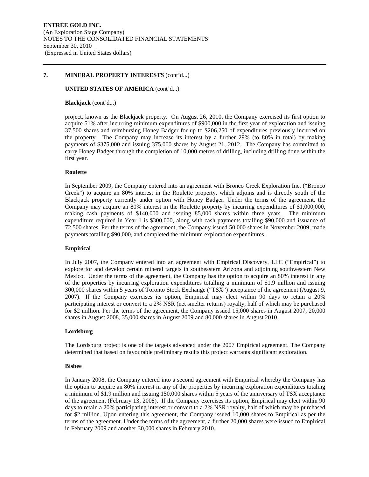#### **UNITED STATES OF AMERICA** (cont'd...)

#### **Blackjack** (cont'd...)

project, known as the Blackjack property. On August 26, 2010, the Company exercised its first option to acquire 51% after incurring minimum expenditures of \$900,000 in the first year of exploration and issuing 37,500 shares and reimbursing Honey Badger for up to \$206,250 of expenditures previously incurred on the property. The Company may increase its interest by a further 29% (to 80% in total) by making payments of \$375,000 and issuing 375,000 shares by August 21, 2012. The Company has committed to carry Honey Badger through the completion of 10,000 metres of drilling, including drilling done within the first year.

#### **Roulette**

In September 2009, the Company entered into an agreement with Bronco Creek Exploration Inc. ("Bronco Creek") to acquire an 80% interest in the Roulette property, which adjoins and is directly south of the Blackjack property currently under option with Honey Badger. Under the terms of the agreement, the Company may acquire an 80% interest in the Roulette property by incurring expenditures of \$1,000,000, making cash payments of \$140,000 and issuing 85,000 shares within three years. The minimum expenditure required in Year 1 is \$300,000, along with cash payments totalling \$90,000 and issuance of 72,500 shares. Per the terms of the agreement, the Company issued 50,000 shares in November 2009, made payments totalling \$90,000, and completed the minimum exploration expenditures.

#### **Empirical**

In July 2007, the Company entered into an agreement with Empirical Discovery, LLC ("Empirical") to explore for and develop certain mineral targets in southeastern Arizona and adjoining southwestern New Mexico. Under the terms of the agreement, the Company has the option to acquire an 80% interest in any of the properties by incurring exploration expenditures totalling a minimum of \$1.9 million and issuing 300,000 shares within 5 years of Toronto Stock Exchange ("TSX") acceptance of the agreement (August 9, 2007). If the Company exercises its option, Empirical may elect within 90 days to retain a 20% participating interest or convert to a 2% NSR (net smelter returns) royalty, half of which may be purchased for \$2 million. Per the terms of the agreement, the Company issued 15,000 shares in August 2007, 20,000 shares in August 2008, 35,000 shares in August 2009 and 80,000 shares in August 2010.

#### **Lordsburg**

The Lordsburg project is one of the targets advanced under the 2007 Empirical agreement. The Company determined that based on favourable preliminary results this project warrants significant exploration.

#### **Bisbee**

In January 2008, the Company entered into a second agreement with Empirical whereby the Company has the option to acquire an 80% interest in any of the properties by incurring exploration expenditures totaling a minimum of \$1.9 million and issuing 150,000 shares within 5 years of the anniversary of TSX acceptance of the agreement (February 13, 2008). If the Company exercises its option, Empirical may elect within 90 days to retain a 20% participating interest or convert to a 2% NSR royalty, half of which may be purchased for \$2 million. Upon entering this agreement, the Company issued 10,000 shares to Empirical as per the terms of the agreement. Under the terms of the agreement, a further 20,000 shares were issued to Empirical in February 2009 and another 30,000 shares in February 2010.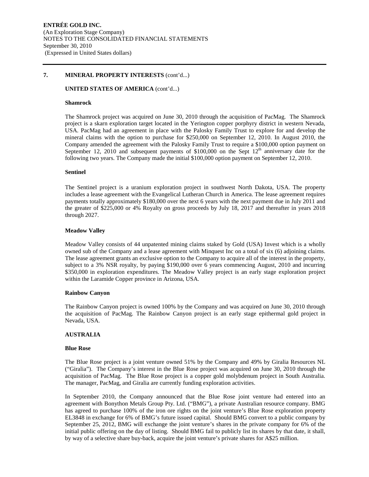#### **UNITED STATES OF AMERICA** (cont'd...)

#### **Shamrock**

The Shamrock project was acquired on June 30, 2010 through the acquisition of PacMag. The Shamrock project is a skarn exploration target located in the Yerington copper porphyry district in western Nevada, USA. PacMag had an agreement in place with the Palosky Family Trust to explore for and develop the mineral claims with the option to purchase for \$250,000 on September 12, 2010. In August 2010, the Company amended the agreement with the Palosky Family Trust to require a \$100,000 option payment on September 12, 2010 and subsequent payments of  $$100,000$  on the Sept 12<sup>th</sup> anniversary date for the following two years. The Company made the initial \$100,000 option payment on September 12, 2010.

#### **Sentinel**

The Sentinel project is a uranium exploration project in southwest North Dakota, USA. The property includes a lease agreement with the Evangelical Lutheran Church in America. The lease agreement requires payments totally approximately \$180,000 over the next 6 years with the next payment due in July 2011 and the greater of \$225,000 or 4% Royalty on gross proceeds by July 18, 2017 and thereafter in years 2018 through 2027.

#### **Meadow Valley**

Meadow Valley consists of 44 unpatented mining claims staked by Gold (USA) Invest which is a wholly owned sub of the Company and a lease agreement with Minquest Inc on a total of six (6) adjoining claims. The lease agreement grants an exclusive option to the Company to acquire all of the interest in the property, subject to a 3% NSR royalty, by paying \$190,000 over 6 years commencing August, 2010 and incurring \$350,000 in exploration expenditures. The Meadow Valley project is an early stage exploration project within the Laramide Copper province in Arizona, USA.

#### **Rainbow Canyon**

The Rainbow Canyon project is owned 100% by the Company and was acquired on June 30, 2010 through the acquisition of PacMag. The Rainbow Canyon project is an early stage epithermal gold project in Nevada, USA.

#### **AUSTRALIA**

#### **Blue Rose**

The Blue Rose project is a joint venture owned 51% by the Company and 49% by Giralia Resources NL ("Giralia"). The Company's interest in the Blue Rose project was acquired on June 30, 2010 through the acquisition of PacMag. The Blue Rose project is a copper gold molybdenum project in South Australia. The manager, PacMag, and Giralia are currently funding exploration activities.

In September 2010, the Company announced that the Blue Rose joint venture had entered into an agreement with Bonython Metals Group Pty. Ltd. ("BMG"), a private Australian resource company. BMG has agreed to purchase 100% of the iron ore rights on the joint venture's Blue Rose exploration property EL3848 in exchange for 6% of BMG's future issued capital. Should BMG convert to a public company by September 25, 2012, BMG will exchange the joint venture's shares in the private company for 6% of the initial public offering on the day of listing. Should BMG fail to publicly list its shares by that date, it shall, by way of a selective share buy-back, acquire the joint venture's private shares for A\$25 million.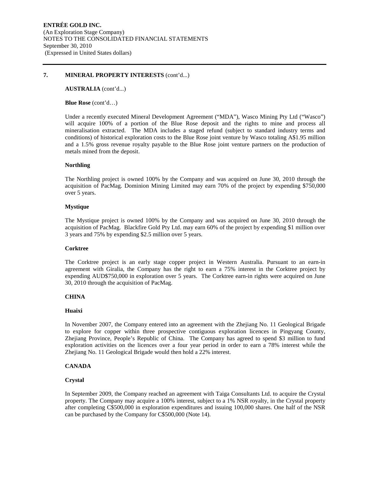**AUSTRALIA** (cont'd...)

**Blue Rose** (cont'd…)

Under a recently executed Mineral Development Agreement ("MDA"), Wasco Mining Pty Ltd ("Wasco") will acquire 100% of a portion of the Blue Rose deposit and the rights to mine and process all mineralisation extracted. The MDA includes a staged refund (subject to standard industry terms and conditions) of historical exploration costs to the Blue Rose joint venture by Wasco totaling A\$1.95 million and a 1.5% gross revenue royalty payable to the Blue Rose joint venture partners on the production of metals mined from the deposit.

#### **Northling**

The Northling project is owned 100% by the Company and was acquired on June 30, 2010 through the acquisition of PacMag. Dominion Mining Limited may earn 70% of the project by expending \$750,000 over 5 years.

#### **Mystique**

The Mystique project is owned 100% by the Company and was acquired on June 30, 2010 through the acquisition of PacMag. Blackfire Gold Pty Ltd. may earn 60% of the project by expending \$1 million over 3 years and 75% by expending \$2.5 million over 5 years.

#### **Corktree**

The Corktree project is an early stage copper project in Western Australia. Pursuant to an earn-in agreement with Giralia, the Company has the right to earn a 75% interest in the Corktree project by expending AUD\$750,000 in exploration over 5 years. The Corktree earn-in rights were acquired on June 30, 2010 through the acquisition of PacMag.

#### **CHINA**

#### **Huaixi**

In November 2007, the Company entered into an agreement with the Zhejiang No. 11 Geological Brigade to explore for copper within three prospective contiguous exploration licences in Pingyang County, Zhejiang Province, People's Republic of China. The Company has agreed to spend \$3 million to fund exploration activities on the licences over a four year period in order to earn a 78% interest while the Zhejiang No. 11 Geological Brigade would then hold a 22% interest.

## **CANADA**

#### **Crystal**

In September 2009, the Company reached an agreement with Taiga Consultants Ltd. to acquire the Crystal property. The Company may acquire a 100% interest, subject to a 1% NSR royalty, in the Crystal property after completing C\$500,000 in exploration expenditures and issuing 100,000 shares. One half of the NSR can be purchased by the Company for C\$500,000 (Note 14).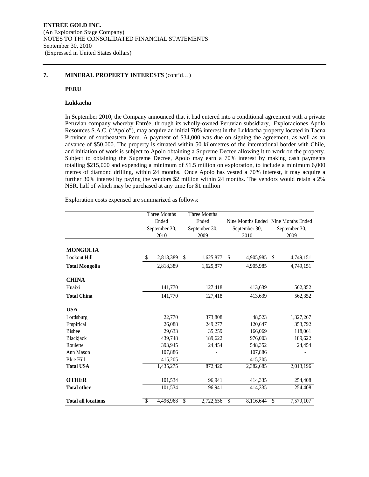#### **PERU**

#### **Lukkacha**

In September 2010, the Company announced that it had entered into a conditional agreement with a private Peruvian company whereby Entrée, through its wholly-owned Peruvian subsidiary, Exploraciones Apolo Resources S.A.C. ("Apolo"), may acquire an initial 70% interest in the Lukkacha property located in Tacna Province of southeastern Peru. A payment of \$34,000 was due on signing the agreement, as well as an advance of \$50,000. The property is situated within 50 kilometres of the international border with Chile, and initiation of work is subject to Apolo obtaining a Supreme Decree allowing it to work on the property. Subject to obtaining the Supreme Decree, Apolo may earn a 70% interest by making cash payments totalling \$215,000 and expending a minimum of \$1.5 million on exploration, to include a minimum 6,000 metres of diamond drilling, within 24 months. Once Apolo has vested a 70% interest, it may acquire a further 30% interest by paying the vendors \$2 million within 24 months. The vendors would retain a 2% NSR, half of which may be purchased at any time for \$1 million

Exploration costs expensed are summarized as follows:

|                            | Three Months  |           | Three Months |               |                 |                                     |  |  |
|----------------------------|---------------|-----------|--------------|---------------|-----------------|-------------------------------------|--|--|
|                            | Ended         |           |              | Ended         |                 | Nine Months Ended Nine Months Ended |  |  |
|                            | September 30, |           |              | September 30, | September 30,   | September 30,                       |  |  |
|                            |               | 2010      |              | 2009          | 2010            | 2009                                |  |  |
|                            |               |           |              |               |                 |                                     |  |  |
| <b>MONGOLIA</b>            |               |           |              |               |                 |                                     |  |  |
| Lookout Hill               | \$            | 2,818,389 | \$           | 1,625,877     | 4,905,985<br>\$ | 4,749,151<br>\$                     |  |  |
| <b>Total Mongolia</b>      |               | 2,818,389 |              | 1,625,877     | 4,905,985       | 4,749,151                           |  |  |
| <b>CHINA</b>               |               |           |              |               |                 |                                     |  |  |
| Huaixi                     |               | 141,770   |              | 127,418       | 413,639         | 562,352                             |  |  |
| <b>Total China</b>         |               | 141,770   |              | 127,418       | 413,639         | 562,352                             |  |  |
| <b>USA</b>                 |               |           |              |               |                 |                                     |  |  |
| Lordsburg                  |               | 22,770    |              | 373,808       | 48,523          | 1,327,267                           |  |  |
| Empirical                  |               | 26,088    |              | 249,277       | 120,647         | 353,792                             |  |  |
| <b>Bisbee</b>              |               | 29,633    |              | 35,259        | 166,069         | 118,061                             |  |  |
| Blackjack                  |               | 439,748   |              | 189,622       | 976,003         | 189,622                             |  |  |
| Roulette                   |               | 393,945   |              | 24,454        | 548,352         | 24,454                              |  |  |
| Ann Mason                  |               | 107,886   |              |               | 107,886         |                                     |  |  |
| <b>Blue Hill</b>           |               | 415,205   |              |               | 415,205         |                                     |  |  |
| <b>Total USA</b>           |               | 1,435,275 |              | 872,420       | 2,382,685       | 2,013,196                           |  |  |
| <b>OTHER</b>               |               | 101,534   |              | 96,941        | 414,335         | 254,408                             |  |  |
| <b>Total other</b>         |               | 101,534   |              | 96,941        | 414,335         | 254,408                             |  |  |
| <b>Total all locations</b> | \$            | 4,496,968 | S            | 2,722,656     | 8,116,644<br>\$ | 7,579,107<br>\$                     |  |  |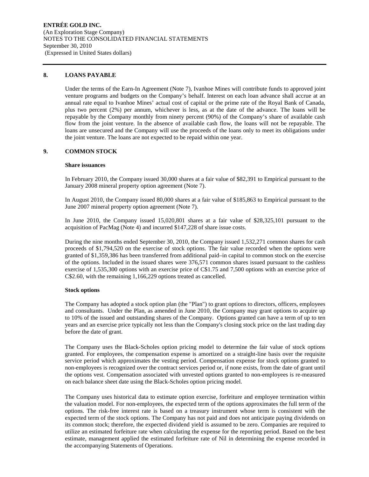#### **8. LOANS PAYABLE**

Under the terms of the Earn-In Agreement (Note 7), Ivanhoe Mines will contribute funds to approved joint venture programs and budgets on the Company's behalf. Interest on each loan advance shall accrue at an annual rate equal to Ivanhoe Mines' actual cost of capital or the prime rate of the Royal Bank of Canada, plus two percent (2%) per annum, whichever is less, as at the date of the advance. The loans will be repayable by the Company monthly from ninety percent (90%) of the Company's share of available cash flow from the joint venture. In the absence of available cash flow, the loans will not be repayable. The loans are unsecured and the Company will use the proceeds of the loans only to meet its obligations under the joint venture. The loans are not expected to be repaid within one year.

## **9. COMMON STOCK**

#### **Share issuances**

In February 2010, the Company issued 30,000 shares at a fair value of \$82,391 to Empirical pursuant to the January 2008 mineral property option agreement (Note 7).

In August 2010, the Company issued 80,000 shares at a fair value of \$185,863 to Empirical pursuant to the June 2007 mineral property option agreement (Note 7).

In June 2010, the Company issued 15,020,801 shares at a fair value of \$28,325,101 pursuant to the acquisition of PacMag (Note 4) and incurred \$147,228 of share issue costs.

During the nine months ended September 30, 2010, the Company issued 1,532,271 common shares for cash proceeds of \$1,794,520 on the exercise of stock options. The fair value recorded when the options were granted of \$1,359,386 has been transferred from additional paid–in capital to common stock on the exercise of the options. Included in the issued shares were 376,571 common shares issued pursuant to the cashless exercise of 1,535,300 options with an exercise price of C\$1.75 and 7,500 options with an exercise price of C\$2.60, with the remaining 1,166,229 options treated as cancelled.

#### **Stock options**

The Company has adopted a stock option plan (the "Plan") to grant options to directors, officers, employees and consultants. Under the Plan, as amended in June 2010, the Company may grant options to acquire up to 10% of the issued and outstanding shares of the Company. Options granted can have a term of up to ten years and an exercise price typically not less than the Company's closing stock price on the last trading day before the date of grant.

The Company uses the Black-Scholes option pricing model to determine the fair value of stock options granted. For employees, the compensation expense is amortized on a straight-line basis over the requisite service period which approximates the vesting period. Compensation expense for stock options granted to non-employees is recognized over the contract services period or, if none exists, from the date of grant until the options vest. Compensation associated with unvested options granted to non-employees is re-measured on each balance sheet date using the Black-Scholes option pricing model.

The Company uses historical data to estimate option exercise, forfeiture and employee termination within the valuation model. For non-employees, the expected term of the options approximates the full term of the options. The risk-free interest rate is based on a treasury instrument whose term is consistent with the expected term of the stock options. The Company has not paid and does not anticipate paying dividends on its common stock; therefore, the expected dividend yield is assumed to be zero. Companies are required to utilize an estimated forfeiture rate when calculating the expense for the reporting period. Based on the best estimate, management applied the estimated forfeiture rate of Nil in determining the expense recorded in the accompanying Statements of Operations.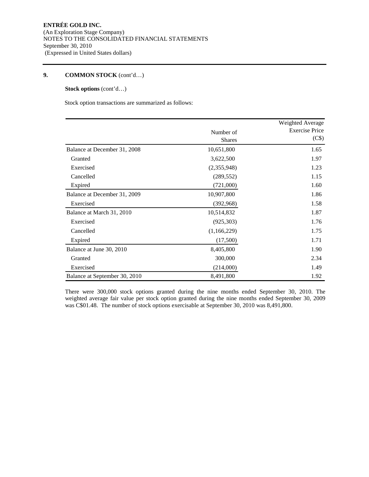## **Stock options** (cont'd…)

Stock option transactions are summarized as follows:

|                               |                            | Weighted Average               |
|-------------------------------|----------------------------|--------------------------------|
|                               | Number of<br><b>Shares</b> | <b>Exercise Price</b><br>(C\$) |
| Balance at December 31, 2008  | 10,651,800                 | 1.65                           |
| Granted                       | 3,622,500                  | 1.97                           |
| Exercised                     | (2,355,948)                | 1.23                           |
| Cancelled                     | (289, 552)                 | 1.15                           |
| Expired                       | (721,000)                  | 1.60                           |
| Balance at December 31, 2009  | 10,907,800                 | 1.86                           |
| Exercised                     | (392,968)                  | 1.58                           |
| Balance at March 31, 2010     | 10,514,832                 | 1.87                           |
| Exercised                     | (925,303)                  | 1.76                           |
| Cancelled                     | (1,166,229)                | 1.75                           |
| Expired                       | (17,500)                   | 1.71                           |
| Balance at June 30, 2010      | 8,405,800                  | 1.90                           |
| Granted                       | 300,000                    | 2.34                           |
| Exercised                     | (214,000)                  | 1.49                           |
| Balance at September 30, 2010 | 8,491,800                  | 1.92                           |

There were 300,000 stock options granted during the nine months ended September 30, 2010. The weighted average fair value per stock option granted during the nine months ended September 30, 2009 was C\$01.48. The number of stock options exercisable at September 30, 2010 was 8,491,800.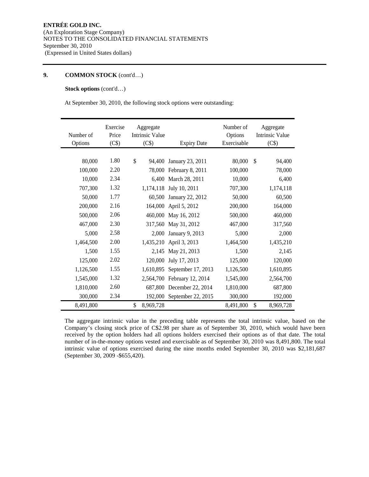#### **Stock options** (cont'd…)

At September 30, 2010, the following stock options were outstanding:

| Number of<br>Options | Exercise<br>Price<br>(C\$) | Aggregate<br><b>Intrinsic Value</b><br>(C\$) | <b>Expiry Date</b> | Number of<br>Options<br>Exercisable |               | Aggregate<br>Intrinsic Value<br>(C\$) |
|----------------------|----------------------------|----------------------------------------------|--------------------|-------------------------------------|---------------|---------------------------------------|
|                      |                            |                                              |                    |                                     |               |                                       |
| 80,000               | 1.80                       | \$<br>94.400                                 | January 23, 2011   | 80,000                              | $\mathcal{S}$ | 94,400                                |
| 100,000              | 2.20                       | 78,000                                       | February 8, 2011   | 100,000                             |               | 78,000                                |
| 10,000               | 2.34                       | 6.400                                        | March 28, 2011     | 10,000                              |               | 6,400                                 |
| 707,300              | 1.32                       | 1,174,118                                    | July 10, 2011      | 707,300                             |               | 1,174,118                             |
| 50,000               | 1.77                       | 60,500                                       | January 22, 2012   | 50,000                              |               | 60,500                                |
| 200,000              | 2.16                       | 164,000                                      | April 5, 2012      | 200,000                             |               | 164,000                               |
| 500,000              | 2.06                       | 460,000                                      | May 16, 2012       | 500,000                             |               | 460,000                               |
| 467,000              | 2.30                       | 317,560                                      | May 31, 2012       | 467,000                             |               | 317,560                               |
| 5,000                | 2.58                       | 2,000                                        | January 9, 2013    | 5,000                               |               | 2,000                                 |
| 1,464,500            | 2.00                       | 1,435,210                                    | April 3, 2013      | 1,464,500                           |               | 1,435,210                             |
| 1,500                | 1.55                       | 2,145                                        | May 21, 2013       | 1,500                               |               | 2,145                                 |
| 125,000              | 2.02                       | 120,000                                      | July 17, 2013      | 125,000                             |               | 120,000                               |
| 1,126,500            | 1.55                       | 1,610,895                                    | September 17, 2013 | 1,126,500                           |               | 1,610,895                             |
| 1,545,000            | 1.32                       | 2,564,700                                    | February 12, 2014  | 1,545,000                           |               | 2,564,700                             |
| 1,810,000            | 2.60                       | 687,800                                      | December 22, 2014  | 1,810,000                           |               | 687,800                               |
| 300,000              | 2.34                       | 192,000                                      | September 22, 2015 | 300,000                             |               | 192,000                               |
| 8,491,800            |                            | \$<br>8,969,728                              |                    | 8,491,800                           | \$            | 8,969,728                             |

The aggregate intrinsic value in the preceding table represents the total intrinsic value, based on the Company's closing stock price of C\$2.98 per share as of September 30, 2010, which would have been received by the option holders had all options holders exercised their options as of that date. The total number of in-the-money options vested and exercisable as of September 30, 2010 was 8,491,800. The total intrinsic value of options exercised during the nine months ended September 30, 2010 was \$2,181,687 (September 30, 2009 -\$655,420).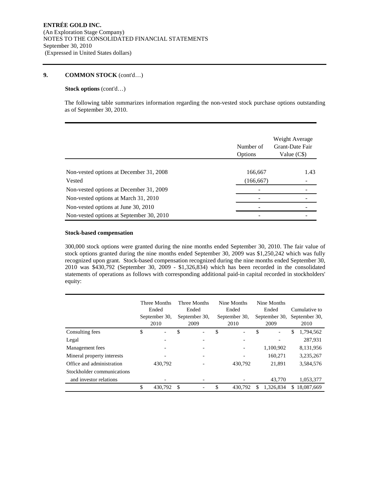#### **Stock options** (cont'd…)

The following table summarizes information regarding the non-vested stock purchase options outstanding as of September 30, 2010.

|                                          | Number of<br>Options | Weight Average<br>Grant-Date Fair<br>Value $(C$)$ |
|------------------------------------------|----------------------|---------------------------------------------------|
|                                          |                      |                                                   |
| Non-vested options at December 31, 2008  | 166,667              | 1.43                                              |
| Vested                                   | (166, 667)           |                                                   |
| Non-vested options at December 31, 2009  |                      |                                                   |
| Non-vested options at March 31, 2010     |                      |                                                   |
| Non-vested options at June 30, 2010      |                      |                                                   |
| Non-vested options at September 30, 2010 |                      |                                                   |

#### **Stock-based compensation**

300,000 stock options were granted during the nine months ended September 30, 2010. The fair value of stock options granted during the nine months ended September 30, 2009 was \$1,250,242 which was fully recognized upon grant. Stock-based compensation recognized during the nine months ended September 30, 2010 was \$430,792 (September 30, 2009 - \$1,326,834) which has been recorded in the consolidated statements of operations as follows with corresponding additional paid-in capital recorded in stockholders' equity:

|                            | Three Months<br>Ended<br>September 30,<br>2010 |                          | Three Months<br>Ended<br>September 30,<br>2009 |   | Nine Months<br>Ended<br>September 30.<br>2010 |                              | Nine Months<br>Ended<br>September 30,<br>2009 |                          | Cumulative to<br>September 30,<br>2010 |            |
|----------------------------|------------------------------------------------|--------------------------|------------------------------------------------|---|-----------------------------------------------|------------------------------|-----------------------------------------------|--------------------------|----------------------------------------|------------|
| Consulting fees            | \$                                             | $\overline{\phantom{a}}$ | \$                                             | - | \$                                            | $\qquad \qquad \blacksquare$ | \$                                            | $\overline{\phantom{a}}$ | \$                                     | 1,794,562  |
| Legal                      |                                                |                          |                                                |   |                                               |                              |                                               |                          |                                        | 287,931    |
| Management fees            |                                                |                          |                                                |   |                                               |                              |                                               | 1,100,902                |                                        | 8,131,956  |
| Mineral property interests |                                                |                          |                                                |   |                                               |                              |                                               | 160,271                  |                                        | 3,235,267  |
| Office and administration  |                                                | 430,792                  |                                                |   |                                               | 430,792                      |                                               | 21.891                   |                                        | 3,584,576  |
| Stockholder communications |                                                |                          |                                                |   |                                               |                              |                                               |                          |                                        |            |
| and investor relations     |                                                |                          |                                                |   |                                               |                              |                                               | 43,770                   |                                        | 1,053,377  |
|                            | \$                                             | 430.792                  | <sup>\$</sup>                                  |   | \$                                            | 430.792                      | S                                             | 1.326.834                | S.                                     | 18,087,669 |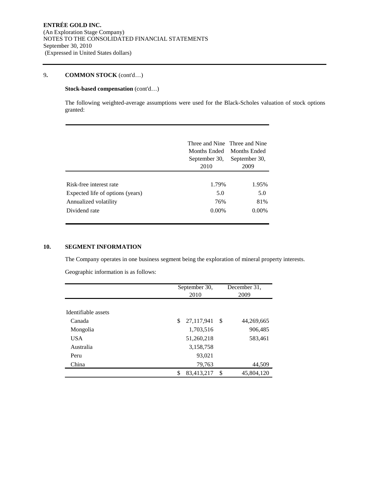## **Stock-based compensation (cont'd...)**

The following weighted-average assumptions were used for the Black-Scholes valuation of stock options granted:

|                                  | Three and Nine Three and Nine<br>Months Ended<br>September 30,<br>2010 | <b>Months Ended</b><br>September 30,<br>2009 |
|----------------------------------|------------------------------------------------------------------------|----------------------------------------------|
| Risk-free interest rate          | 1.79%                                                                  | 1.95%                                        |
| Expected life of options (years) | 5.0                                                                    | 5.0                                          |
| Annualized volatility            | 76%                                                                    | 81%                                          |
| Dividend rate                    | $0.00\%$                                                               | $0.00\%$                                     |

## **10. SEGMENT INFORMATION**

The Company operates in one business segment being the exploration of mineral property interests.

Geographic information is as follows:

|                     | September 30, |            |    | December 31. |  |  |
|---------------------|---------------|------------|----|--------------|--|--|
|                     | 2010          |            |    | 2009         |  |  |
|                     |               |            |    |              |  |  |
| Identifiable assets |               |            |    |              |  |  |
| Canada              | \$            | 27,117,941 | -S | 44,269,665   |  |  |
| Mongolia            |               | 1,703,516  |    | 906,485      |  |  |
| <b>USA</b>          |               | 51,260,218 |    | 583,461      |  |  |
| Australia           |               | 3,158,758  |    |              |  |  |
| Peru                |               | 93,021     |    |              |  |  |
| China               |               | 79,763     |    | 44,509       |  |  |
|                     |               | 83,413,217 | \$ | 45,804,120   |  |  |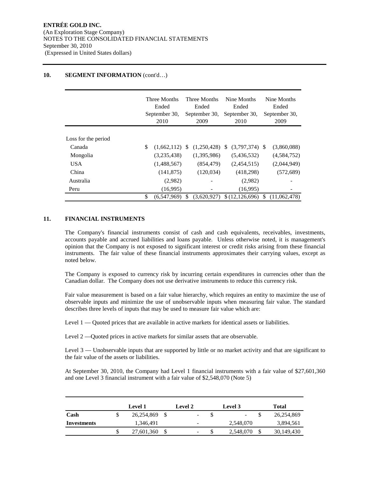## 10. **SEGMENT INFORMATION** (cont'd...)

|                     | Three Months<br>Ended<br>September 30,<br>2010 |               | Three Months<br>Ended<br>September 30,<br>2009 |  | Nine Months<br>Ended<br>September 30,<br>2010 |    | Nine Months<br>Ended<br>September 30,<br>2009 |  |
|---------------------|------------------------------------------------|---------------|------------------------------------------------|--|-----------------------------------------------|----|-----------------------------------------------|--|
|                     |                                                |               |                                                |  |                                               |    |                                               |  |
| Loss for the period |                                                |               |                                                |  |                                               |    |                                               |  |
| Canada              | \$<br>$(1,662,112)$ \$                         |               | $(1,250,428)$ \$                               |  | $(3,797,374)$ \$                              |    | (3,860,088)                                   |  |
| Mongolia            | (3,235,438)                                    |               | (1,395,986)                                    |  | (5,436,532)                                   |    | (4,584,752)                                   |  |
| <b>USA</b>          | (1,488,567)                                    |               | (854, 479)                                     |  | (2,454,515)                                   |    | (2,044,949)                                   |  |
| China               | (141, 875)                                     |               | (120, 034)                                     |  | (418, 298)                                    |    | (572, 689)                                    |  |
| Australia           | (2,982)                                        |               |                                                |  | (2,982)                                       |    |                                               |  |
| Peru                | (16,995)                                       |               |                                                |  | (16,995)                                      |    |                                               |  |
|                     | \$<br>(6.547.969)                              | $\mathcal{S}$ | (3.620.927)                                    |  | \$(12, 126, 696)                              | \$ | (11,062,478)                                  |  |

## **11. FINANCIAL INSTRUMENTS**

The Company's financial instruments consist of cash and cash equivalents, receivables, investments, accounts payable and accrued liabilities and loans payable. Unless otherwise noted, it is management's opinion that the Company is not exposed to significant interest or credit risks arising from these financial instruments. The fair value of these financial instruments approximates their carrying values, except as noted below.

The Company is exposed to currency risk by incurring certain expenditures in currencies other than the Canadian dollar. The Company does not use derivative instruments to reduce this currency risk.

Fair value measurement is based on a fair value hierarchy, which requires an entity to maximize the use of observable inputs and minimize the use of unobservable inputs when measuring fair value. The standard describes three levels of inputs that may be used to measure fair value which are:

Level 1 — Quoted prices that are available in active markets for identical assets or liabilities.

Level 2 —Quoted prices in active markets for similar assets that are observable.

Level 3 — Unobservable inputs that are supported by little or no market activity and that are significant to the fair value of the assets or liabilities.

At September 30, 2010, the Company had Level 1 financial instruments with a fair value of \$27,601,360 and one Level 3 financial instrument with a fair value of \$2,548,070 (Note 5)

|             | <b>Level 1</b> | <b>Level 2</b>           | Level 3                  | Total      |
|-------------|----------------|--------------------------|--------------------------|------------|
| Cash        | 26,254,869     | -                        | $\overline{\phantom{a}}$ | 26,254,869 |
| Investments | 1,346,491      | -                        | 2,548,070                | 3,894,561  |
|             | 27,601,360     | $\overline{\phantom{0}}$ | 2,548,070                | 30,149,430 |